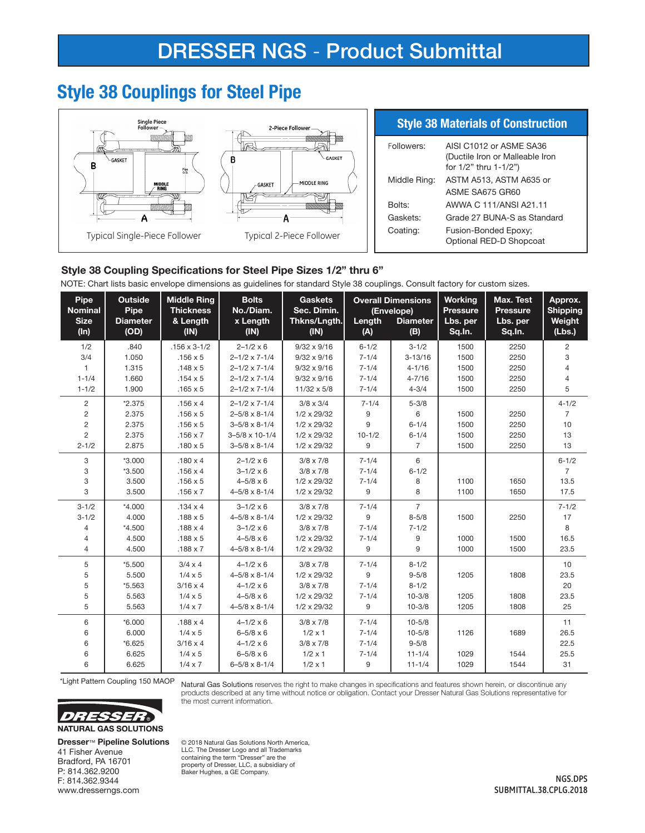# **Style 38 Couplings for Steel Pipe**



### Style 38 Coupling Specifications for Steel Pipe Sizes 1/2" thru 6"

NOTE: Chart lists basic envelope dimensions as guidelines for standard Style 38 couplings. Consult factory for custom sizes.

| Pipe<br><b>Nominal</b><br><b>Size</b><br>$(\ln)$ | <b>Outside</b><br>Pipe<br><b>Diameter</b><br>(OD) | <b>Middle Ring</b><br><b>Thickness</b><br>& Length<br>(IN) | <b>Bolts</b><br>No./Diam.<br>x Length<br>(IN) | <b>Gaskets</b><br>Sec. Dimin.<br>Thkns/Lngth.<br>(IN) | Length<br>(A) | <b>Overall Dimensions</b><br>(Envelope)<br><b>Diameter</b><br>(B) | <b>Working</b><br><b>Pressure</b><br>Lbs. per<br>Sq. In. | Max. Test<br><b>Pressure</b><br>Lbs. per<br>Sq.In. | Approx.<br><b>Shipping</b><br>Weight<br>(Lbs.) |
|--------------------------------------------------|---------------------------------------------------|------------------------------------------------------------|-----------------------------------------------|-------------------------------------------------------|---------------|-------------------------------------------------------------------|----------------------------------------------------------|----------------------------------------------------|------------------------------------------------|
| 1/2                                              | .840                                              | $.156 \times 3 - 1/2$                                      | $2 - 1/2 \times 6$                            | $9/32 \times 9/16$                                    | $6 - 1/2$     | $3 - 1/2$                                                         | 1500                                                     | 2250                                               | $\overline{c}$                                 |
| 3/4                                              | 1.050                                             | $.156 \times 5$                                            | $2 - 1/2 \times 7 - 1/4$                      | $9/32 \times 9/16$                                    | $7 - 1/4$     | $3 - 13/16$                                                       | 1500                                                     | 2250                                               | 3                                              |
| 1                                                | 1.315                                             | $.148 \times 5$                                            | $2 - 1/2 \times 7 - 1/4$                      | $9/32 \times 9/16$                                    | $7 - 1/4$     | $4 - 1/16$                                                        | 1500                                                     | 2250                                               | $\overline{4}$                                 |
| $1 - 1/4$                                        | 1.660                                             | $.154 \times 5$                                            | $2 - 1/2 \times 7 - 1/4$                      | $9/32 \times 9/16$                                    | $7 - 1/4$     | $4 - 7/16$                                                        | 1500                                                     | 2250                                               | $\overline{4}$                                 |
| $1 - 1/2$                                        | 1.900                                             | $.165 \times 5$                                            | $2 - 1/2 \times 7 - 1/4$                      | $11/32 \times 5/8$                                    | $7 - 1/4$     | $4 - 3/4$                                                         | 1500                                                     | 2250                                               | 5                                              |
| $\overline{c}$                                   | $*2.375$                                          | $.156 \times 4$                                            | $2 - 1/2 \times 7 - 1/4$                      | $3/8 \times 3/4$                                      | $7 - 1/4$     | $5 - 3/8$                                                         |                                                          |                                                    | $4 - 1/2$                                      |
| $\overline{c}$                                   | 2.375                                             | $.156 \times 5$                                            | $2 - 5/8 \times 8 - 1/4$                      | 1/2 x 29/32                                           | 9             | 6                                                                 | 1500                                                     | 2250                                               | $\overline{7}$                                 |
| $\overline{2}$                                   | 2.375                                             | $.156 \times 5$                                            | $3 - 5/8 \times 8 - 1/4$                      | $1/2 \times 29/32$                                    | 9             | $6 - 1/4$                                                         | 1500                                                     | 2250                                               | 10                                             |
| $\overline{2}$                                   | 2.375                                             | $.156 \times 7$                                            | $3 - 5/8 \times 10 - 1/4$                     | $1/2 \times 29/32$                                    | $10 - 1/2$    | $6 - 1/4$                                                         | 1500                                                     | 2250                                               | 13                                             |
| $2 - 1/2$                                        | 2.875                                             | $.180 \times 5$                                            | $3 - 5/8 \times 8 - 1/4$                      | 1/2 x 29/32                                           | 9             | $\overline{7}$                                                    | 1500                                                     | 2250                                               | 13                                             |
| 3                                                | $*3.000$                                          | $.180 \times 4$                                            | $2 - 1/2 \times 6$                            | $3/8 \times 7/8$                                      | $7 - 1/4$     | 6                                                                 |                                                          |                                                    | $6 - 1/2$                                      |
| 3                                                | $*3.500$                                          | $.156 \times 4$                                            | $3 - 1/2 \times 6$                            | $3/8 \times 7/8$                                      | $7 - 1/4$     | $6 - 1/2$                                                         |                                                          |                                                    | $\overline{7}$                                 |
| 3                                                | 3.500                                             | $.156 \times 5$                                            | $4 - 5/8 \times 6$                            | 1/2 x 29/32                                           | $7 - 1/4$     | 8                                                                 | 1100                                                     | 1650                                               | 13.5                                           |
| 3                                                | 3.500                                             | $.156 \times 7$                                            | $4 - 5/8 \times 8 - 1/4$                      | 1/2 x 29/32                                           | 9             | 8                                                                 | 1100                                                     | 1650                                               | 17.5                                           |
| $3 - 1/2$                                        | $*4.000$                                          | $.134 \times 4$                                            | $3 - 1/2 \times 6$                            | $3/8 \times 7/8$                                      | $7 - 1/4$     | $\overline{7}$                                                    |                                                          |                                                    | $7 - 1/2$                                      |
| $3 - 1/2$                                        | 4.000                                             | $.188 \times 5$                                            | $4 - 5/8 \times 8 - 1/4$                      | 1/2 x 29/32                                           | 9             | $8 - 5/8$                                                         | 1500                                                     | 2250                                               | 17                                             |
| $\overline{4}$                                   | $*4.500$                                          | $.188 \times 4$                                            | $3 - 1/2 \times 6$                            | $3/8 \times 7/8$                                      | $7 - 1/4$     | $7 - 1/2$                                                         |                                                          |                                                    | 8                                              |
| $\overline{4}$                                   | 4.500                                             | $.188 \times 5$                                            | $4 - 5/8 \times 6$                            | $1/2 \times 29/32$                                    | $7 - 1/4$     | 9                                                                 | 1000                                                     | 1500                                               | 16.5                                           |
| $\overline{4}$                                   | 4.500                                             | $.188 \times 7$                                            | $4 - 5/8 \times 8 - 1/4$                      | 1/2 x 29/32                                           | 9             | 9                                                                 | 1000                                                     | 1500                                               | 23.5                                           |
| 5                                                | $*5.500$                                          | $3/4 \times 4$                                             | $4 - 1/2 \times 6$                            | $3/8 \times 7/8$                                      | $7 - 1/4$     | $8 - 1/2$                                                         |                                                          |                                                    | 10                                             |
| 5                                                | 5.500                                             | $1/4 \times 5$                                             | $4 - 5/8 \times 8 - 1/4$                      | $1/2 \times 29/32$                                    | 9             | $9 - 5/8$                                                         | 1205                                                     | 1808                                               | 23.5                                           |
| 5                                                | *5.563                                            | $3/16 \times 4$                                            | $4 - 1/2 \times 6$                            | $3/8 \times 7/8$                                      | $7 - 1/4$     | $8 - 1/2$                                                         |                                                          |                                                    | 20                                             |
| 5                                                | 5.563                                             | $1/4 \times 5$                                             | $4 - 5/8 \times 6$                            | 1/2 x 29/32                                           | $7 - 1/4$     | $10 - 3/8$                                                        | 1205                                                     | 1808                                               | 23.5                                           |
| 5                                                | 5.563                                             | $1/4 \times 7$                                             | $4 - 5/8 \times 8 - 1/4$                      | $1/2 \times 29/32$                                    | 9             | $10 - 3/8$                                                        | 1205                                                     | 1808                                               | 25                                             |
| 6                                                | $*6.000$                                          | $.188 \times 4$                                            | $4 - 1/2 \times 6$                            | $3/8 \times 7/8$                                      | $7 - 1/4$     | $10 - 5/8$                                                        |                                                          |                                                    | 11                                             |
| 6                                                | 6.000                                             | $1/4 \times 5$                                             | $6 - 5/8 \times 6$                            | $1/2 \times 1$                                        | $7 - 1/4$     | $10 - 5/8$                                                        | 1126                                                     | 1689                                               | 26.5                                           |
| 6                                                | $*6.625$                                          | $3/16 \times 4$                                            | $4 - 1/2 \times 6$                            | $3/8 \times 7/8$                                      | $7 - 1/4$     | $9 - 5/8$                                                         |                                                          |                                                    | 22.5                                           |
| 6                                                | 6.625                                             | $1/4 \times 5$                                             | $6 - 5/8 \times 6$                            | $1/2 \times 1$                                        | $7 - 1/4$     | $11 - 1/4$                                                        | 1029                                                     | 1544                                               | 25.5                                           |
| 6                                                | 6.625                                             | $1/4 \times 7$                                             | $6 - 5/8 \times 8 - 1/4$                      | $1/2 \times 1$                                        | 9             | $11 - 1/4$                                                        | 1029                                                     | 1544                                               | 31                                             |

\*Light Pattern Coupling 150 MAOP

Natural Gas Solutions reserves the right to make changes in specifications and features shown herein, or discontinue any products described at any time without notice or obligation. Contact your Dresser Natural Gas Solutions representative for the most current information.



**Dresser™ Pipeline Solutions** 41 Fisher Avenue Bradford, PA 16701 P: 814.362.9200 F: 814.362.9344

www.dresserngs.com

© 2018 Natural Gas Solutions North America, LLC. The Dresser Logo and all Trademarks<br>containing the term "Dresser" are the property of Dresser, LLC, a subsidiary of<br>Baker Hughes, a GE Company.